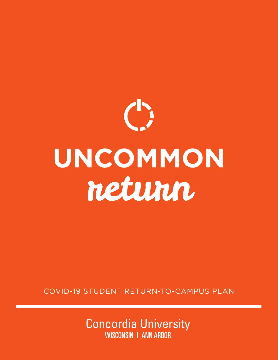

COVID-19 STUDENT RETURN-TO-CAMPUS PLAN

Concordia University WISCONSIN | ANN ARBOR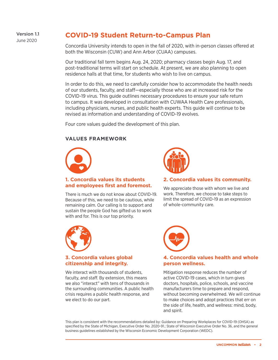Version 1.1 June 2020

# **COVID-19 Student Return-to-Campus Plan**

Concordia University intends to open in the fall of 2020, with in-person classes offered at both the Wisconsin (CUW) and Ann Arbor (CUAA) campuses.

Our traditional fall term begins Aug. 24, 2020; pharmacy classes begin Aug. 17, and post-traditional terms will start on schedule. At present, we are also planning to open residence halls at that time, for students who wish to live on campus.

In order to do this, we need to carefully consider how to accommodate the health needs of our students, faculty, and staff—especially those who are at increased risk for the COVID-19 virus. This guide outlines necessary procedures to ensure your safe return to campus. It was developed in consultation with CUWAA Health Care professionals, including physicians, nurses, and public health experts. This guide will continue to be revised as information and understanding of COVID-19 evolves.

Four core values guided the development of this plan.

### **VALUES FRAMEWORK**



### **1. Concordia values its students and employees first and foremost.**

There is much we do not know about COVID-19. Because of this, we need to be cautious, while remaining calm. Our calling is to support and sustain the people God has gifted us to work with and for. This is our top priority.



### **2. Concordia values its community.**

We appreciate those with whom we live and work. Therefore, we choose to take steps to limit the spread of COVID-19 as an expression of whole-community care.



### **3. Concordia values global citizenship and integrity.**

We interact with thousands of students. faculty, and staff. By extension, this means we also "interact" with tens of thousands in the surrounding communities. A public health crisis requires a public health response, and we elect to do our part.



### **4. Concordia values health and whole person wellness.**

Mitigation response reduces the number of active COVID-19 cases, which in turn gives doctors, hospitals, police, schools, and vaccine manufacturers time to prepare and respond, without becoming overwhelmed. We will continue to make choices and adopt practices that err on the side of life, health, and wellness: mind, body, and spirit.

This plan is consistent with the recommendations detailed by: Guidance on Preparing Workplaces for COVID-19 (OHSA) as specified by the State of Michigan, Executive Order No. 2020-91.; State of Wisconsin Executive Order No. 36, and the general business guidelines established by the Wisconsin Economic Development Corporation (WEDC).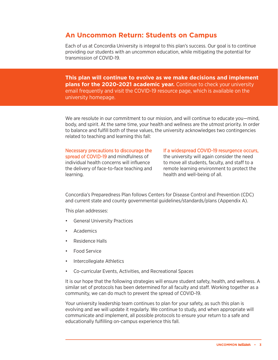# **An Uncommon Return: Students on Campus**

Each of us at Concordia University is integral to this plan's success. Our goal is to continue providing our students with an uncommon education, while mitigating the potential for transmission of COVID-19.

**This plan will continue to evolve as we make decisions and implement plans for the 2020-2021 academic year.** Continue to check your university email frequently and visit the COVID-19 resource page, which is available on the university homepage.

We are resolute in our commitment to our mission, and will continue to educate you—mind, body, and spirit. At the same time, your health and wellness are the utmost priority. In order to balance and fulfill both of these values, the university acknowledges two contingencies related to teaching and learning this fall:

Necessary precautions to discourage the spread of COVID-19 and mindfulness of individual health concerns will influence the delivery of face-to-face teaching and learning.

If a widespread COVID-19 resurgence occurs, the university will again consider the need to move all students, faculty, and staff to a remote learning environment to protect the health and well-being of all.

Concordia's Preparedness Plan follows Centers for Disease Control and Prevention (CDC) and current state and county governmental guidelines/standards/plans (Appendix A).

This plan addresses:

- General University Practices
- **Academics**
- Residence Halls
- Food Service
- Intercollegiate Athletics
- Co-curricular Events, Activities, and Recreational Spaces

It is our hope that the following strategies will ensure student safety, health, and wellness. A similar set of protocols has been determined for all faculty and staff. Working together as a community, we can do much to prevent the spread of COVID-19.

Your university leadership team continues to plan for your safety, as such this plan is evolving and we will update it regularly. We continue to study, and when appropriate will communicate and implement, all possible protocols to ensure your return to a safe and educationally fulfilling on-campus experience this fall.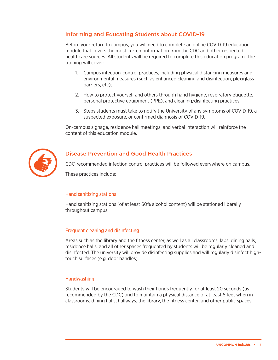# Informing and Educating Students about COVID-19

Before your return to campus, you will need to complete an online COVID-19 education module that covers the most current information from the CDC and other respected healthcare sources. All students will be required to complete this education program. The training will cover:

- 1. Campus infection-control practices, including physical distancing measures and environmental measures (such as enhanced cleaning and disinfection, plexiglass barriers, etc);
- 2. How to protect yourself and others through hand hygiene, respiratory etiquette, personal protective equipment (PPE), and cleaning/disinfecting practices;
- 3. Steps students must take to notify the University of any symptoms of COVID-19, a suspected exposure, or confirmed diagnosis of COVID-19.

On-campus signage, residence hall meetings, and verbal interaction will reinforce the content of this education module.



## Disease Prevention and Good Health Practices

CDC-recommended infection control practices will be followed everywhere on campus.

These practices include:

### Hand sanitizing stations

Hand sanitizing stations (of at least 60% alcohol content) will be stationed liberally throughout campus.

### Frequent cleaning and disinfecting

Areas such as the library and the fitness center, as well as all classrooms, labs, dining halls, residence halls, and all other spaces frequented by students will be regularly cleaned and disinfected. The university will provide disinfecting supplies and will regularly disinfect hightouch surfaces (e.g. door handles).

### **Handwashing**

Students will be encouraged to wash their hands frequently for at least 20 seconds (as recommended by the CDC) and to maintain a physical distance of at least 6 feet when in classrooms, dining halls, hallways, the library, the fitness center, and other public spaces.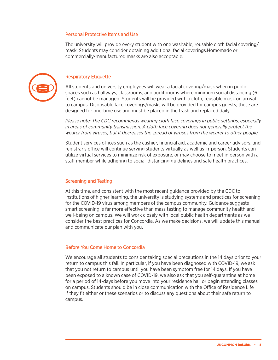#### Personal Protective Items and Use

The university will provide every student with one washable, reusable cloth facial covering/ mask. Students may consider obtaining additional facial coverings.Homemade or commercially-manufactured masks are also acceptable.



### Respiratory Etiquette

All students and university employees will wear a facial covering/mask when in public spaces such as hallways, classrooms, and auditoriums where minimum social distancing (6 feet) cannot be managed. Students will be provided with a cloth, reusable mask on arrival to campus. Disposable face coverings/masks will be provided for campus guests; these are designed for one-time use and must be placed in the trash and replaced daily.

*Please note: The CDC recommends wearing cloth face coverings in public settings, especially in areas of community transmission. A cloth face covering does not generally protect the wearer from viruses, but it decreases the spread of viruses from the wearer to other people.*

Student services offices such as the cashier, financial aid, academic and career advisors, and registrar's office will continue serving students virtually as well as in-person. Students can utilize virtual services to minimize risk of exposure, or may choose to meet in person with a staff member while adhering to social-distancing guidelines and safe health practices.

#### Screening and Testing

At this time, and consistent with the most recent guidance provided by the CDC to institutions of higher learning, the university is studying systems and practices for screening for the COVID-19 virus among members of the campus community. Guidance suggests smart screening is far more effective than mass testing to manage community health and well-being on campus. We will work closely with local public health departments as we consider the best practices for Concordia. As we make decisions, we will update this manual and communicate our plan with you.

### Before You Come Home to Concordia

We encourage all students to consider taking special precautions in the 14 days prior to your return to campus this fall. In particular, if you have been diagnosed with COVID-19, we ask that you not return to campus until you have been symptom free for 14 days. If you have been exposed to a known case of COVID-19, we also ask that you self-quarantine at home for a period of 14-days before you move into your residence hall or begin attending classes on campus. Students should be in close communication with the Office of Residence Life if they fit either or these scenarios or to discuss any questions about their safe return to campus.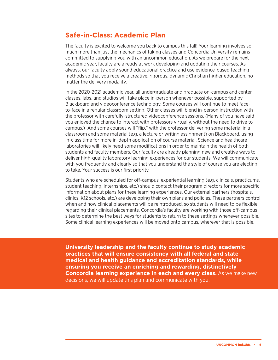# **Safe-in-Class: Academic Plan**

The faculty is excited to welcome you back to campus this fall! Your learning involves so much more than just the mechanics of taking classes and Concordia University remains committed to supplying you with an uncommon education. As we prepare for the next academic year, faculty are already at work developing and updating their courses. As always, our faculty apply sound educational practice and use evidence-based teaching methods so that you receive a creative, rigorous, dynamic Christian higher education, no matter the delivery modality.

In the 2020-2021 academic year, all undergraduate and graduate on-campus and center classes, labs, and studios will take place in-person whenever possible, supported by Blackboard and videoconference technology. Some courses will continue to meet faceto-face in a regular classroom setting. Other classes will blend in-person instruction with the professor with carefully-structured videoconference sessions. (Many of you have said you enjoyed the chance to interact with professors virtually, without the need to drive to campus.) And some courses will "flip," with the professor delivering some material in a classroom and some material (e.g. a lecture or writing assignment) on Blackboard, using in-class time for more in-depth application of course material. Science and healthcare laboratories will likely need some modifications in order to maintain the health of both students and faculty members. Our faculty are already planning new and creative ways to deliver high-quality laboratory learning experiences for our students. We will communicate with you frequently and clearly so that you understand the style of course you are electing to take. Your success is our first priority.

Students who are scheduled for off-campus, experiential learning (e.g. clinicals, practicums, student teaching, internships, etc.) should contact their program directors for more specific information about plans for these learning experiences. Our external partners (hospitals, clinics, K12 schools, etc.) are developing their own plans and policies. These partners control when and how clinical placements will be reintroduced, so students will need to be flexible regarding their clinical placements. Concordia's faculty are working with those off-campus sites to determine the best ways for students to return to these settings whenever possible. Some clinical learning experiences will be moved onto campus, wherever that is possible.

**University leadership and the faculty continue to study academic practices that will ensure consistency with all federal and state medical and health guidance and accreditation standards, while ensuring you receive an enriching and rewarding, distinctively Concordia learning experience in each and every class.** As we make new decisions, we will update this plan and communicate with you.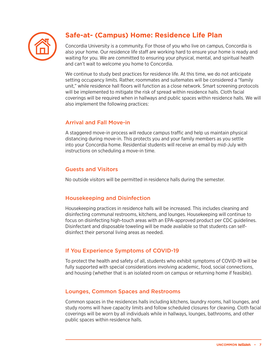

# **Safe-at- (Campus) Home: Residence Life Plan**

Concordia University is a community. For those of you who live on campus, Concordia is also your home. Our residence life staff are working hard to ensure your home is ready and waiting for you. We are committed to ensuring your physical, mental, and spiritual health and can't wait to welcome you home to Concordia.

We continue to study best practices for residence life. At this time, we do not anticipate setting occupancy limits. Rather, roommates and suitemates will be considered a "family unit," while residence hall floors will function as a close network. Smart screening protocols will be implemented to mitigate the risk of spread within residence halls. Cloth facial coverings will be required when in hallways and public spaces within residence halls. We will also implement the following practices:

## Arrival and Fall Move-in

A staggered move-in process will reduce campus traffic and help us maintain physical distancing during move-in. This protects you and your family members as you settle into your Concordia home. Residential students will receive an email by mid-July with instructions on scheduling a move-in time.

# Guests and Visitors

No outside visitors will be permitted in residence halls during the semester.

# Housekeeping and Disinfection

Housekeeping practices in residence halls will be increased. This includes cleaning and disinfecting communal restrooms, kitchens, and lounges. Housekeeping will continue to focus on disinfecting high-touch areas with an EPA-approved product per CDC guidelines. Disinfectant and disposable toweling will be made available so that students can selfdisinfect their personal living areas as needed.

# If You Experience Symptoms of COVID-19

To protect the health and safety of all, students who exhibit symptoms of COVID-19 will be fully supported with special considerations involving academic, food, social connections, and housing (whether that is an isolated room on campus or returning home if feasible).

# Lounges, Common Spaces and Restrooms

Common spaces in the residences halls including kitchens, laundry rooms, hall lounges, and study rooms will have capacity limits and follow scheduled closures for cleaning. Cloth facial coverings will be worn by all individuals while in hallways, lounges, bathrooms, and other public spaces within residence halls.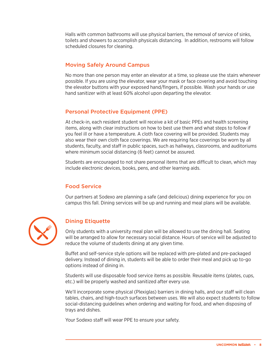Halls with common bathrooms will use physical barriers, the removal of service of sinks, toilets and showers to accomplish physicals distancing. In addition, restrooms will follow scheduled closures for cleaning.

# Moving Safely Around Campus

No more than one person may enter an elevator at a time, so please use the stairs whenever possible. If you are using the elevator, wear your mask or face covering and avoid touching the elevator buttons with your exposed hand/fingers, if possible. Wash your hands or use hand sanitizer with at least 60% alcohol upon departing the elevator.

## Personal Protective Equipment (PPE)

At check-in, each resident student will receive a kit of basic PPEs and health screening items, along with clear instructions on how to best use them and what steps to follow if you feel ill or have a temperature. A cloth face covering will be provided. Students may also wear their own cloth face coverings. We are requiring face coverings be worn by all students, faculty, and staff in public spaces, such as hallways, classrooms, and auditoriums where minimum social distancing (6 feet) cannot be assured.

Students are encouraged to not share personal items that are difficult to clean, which may include electronic devices, books, pens, and other learning aids.

# Food Service

Our partners at Sodexo are planning a safe (and delicious) dining experience for you on campus this fall. Dining services will be up and running and meal plans will be available.



## Dining Etiquette

Only students with a university meal plan will be allowed to use the dining hall. Seating will be arranged to allow for necessary social distance. Hours of service will be adjusted to reduce the volume of students dining at any given time.

Buffet and self-service style options will be replaced with pre-plated and pre-packaged delivery. Instead of dining in, students will be able to order their meal and pick up to-go options instead of dining in.

Students will use disposable food service items as possible. Reusable items (plates, cups, etc.) will be properly washed and sanitized after every use.

We'll incorporate some physical (Plexiglas) barriers in dining halls, and our staff will clean tables, chairs, and high-touch surfaces between uses. We will also expect students to follow social-distancing guidelines when ordering and waiting for food, and when disposing of trays and dishes.

Your Sodexo staff will wear PPE to ensure your safety.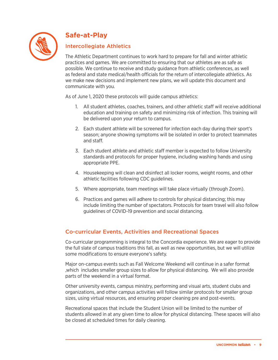

# **Safe-at-Play**

# Intercollegiate Athletics

The Athletic Department continues to work hard to prepare for fall and winter athletic practices and games. We are committed to ensuring that our athletes are as safe as possible. We continue to receive and study guidance from athletic conferences, as well as federal and state medical/health officials for the return of intercollegiate athletics. As we make new decisions and implement new plans, we will update this document and communicate with you.

As of June 1, 2020 these protocols will guide campus athletics:

- 1. All student athletes, coaches, trainers, and other athletic staff will receive additional education and training on safety and minimizing risk of infection. This training will be delivered upon your return to campus.
- 2. Each student athlete will be screened for infection each day during their sport's season; anyone showing symptoms will be isolated in order to protect teammates and staff.
- 3. Each student athlete and athletic staff member is expected to follow University standards and protocols for proper hygiene, including washing hands and using appropriate PPE.
- 4. Housekeeping will clean and disinfect all locker rooms, weight rooms, and other athletic facilities following CDC guidelines.
- 5. Where appropriate, team meetings will take place virtually (through Zoom).
- 6. Practices and games will adhere to controls for physical distancing; this may include limiting the number of spectators. Protocols for team travel will also follow guidelines of COVID-19 prevention and social distancing.

# Co-curricular Events, Activities and Recreational Spaces

Co-curricular programming is integral to the Concordia experience. We are eager to provide the full slate of campus traditions this fall, as well as new opportunities, but we will utilize some modifications to ensure everyone's safety.

Major on-campus events such as Fall Welcome Weekend will continue in a safer format ,which includes smaller group sizes to allow for physical distancing. We will also provide parts of the weekend in a virtual format.

Other university events, campus ministry, performing and visual arts, student clubs and organizations, and other campus activities will follow similar protocols for smaller group sizes, using virtual resources, and ensuring proper cleaning pre and post-events.

Recreational spaces that include the Student Union will be limited to the number of students allowed in at any given time to allow for physical distancing. These spaces will also be closed at scheduled times for daily cleaning.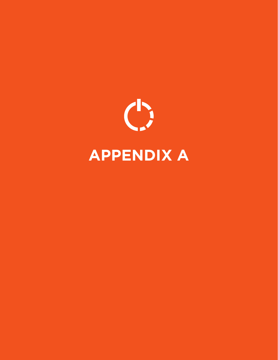